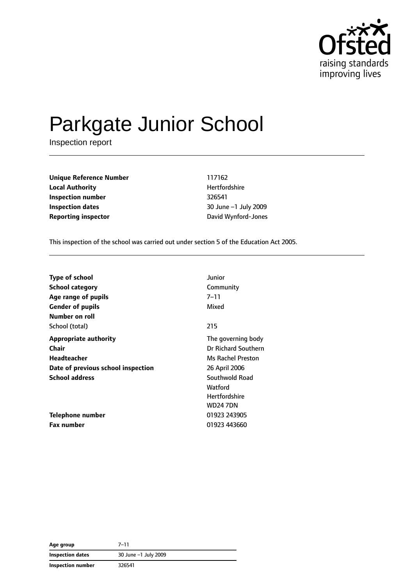

# Parkgate Junior School

Inspection report

**Unique Reference Number** 117162 **Local Authority Material Authority Hertfordshire Inspection number** 326541 **Inspection dates** 30 June –1 July 2009 **Reporting inspector CONFIDER IN A REPORT OF A REPORT OF A REPORT OF A REPORT OF A REPORT OF A REPORT OF A REPORT OF A REPORT OF A REPORT OF A REPORT OF A REPORT OF A REPORT OF A REPORT OF A REPORT OF A REPORT OF A REPOR** 

This inspection of the school was carried out under section 5 of the Education Act 2005.

| <b>Type of school</b>              | Junior               |
|------------------------------------|----------------------|
| <b>School category</b>             | Community            |
| Age range of pupils                | 7–11                 |
| <b>Gender of pupils</b>            | Mixed                |
| Number on roll                     |                      |
| School (total)                     | 215                  |
| <b>Appropriate authority</b>       | The governing body   |
| <b>Chair</b>                       | Dr Richard Southern  |
| Headteacher                        | Ms Rachel Preston    |
| Date of previous school inspection | 26 April 2006        |
| <b>School address</b>              | Southwold Road       |
|                                    | Watford              |
|                                    | <b>Hertfordshire</b> |
|                                    | <b>WD24 7DN</b>      |
| Telephone number                   | 01923 243905         |
| <b>Fax number</b>                  | 01923 443660         |

| Age group         | $7 - 11$             |
|-------------------|----------------------|
| Inspection dates  | 30 June -1 July 2009 |
| Inspection number | 326541               |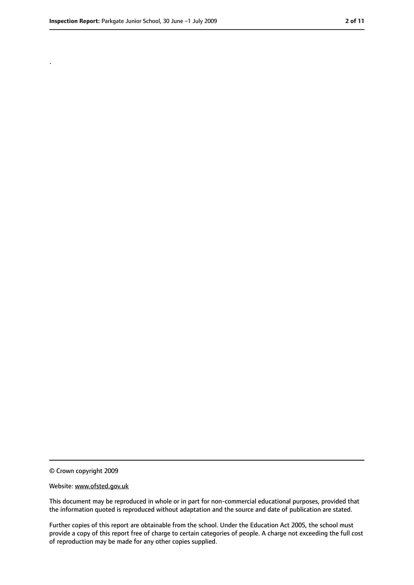.

<sup>©</sup> Crown copyright 2009

Website: www.ofsted.gov.uk

This document may be reproduced in whole or in part for non-commercial educational purposes, provided that the information quoted is reproduced without adaptation and the source and date of publication are stated.

Further copies of this report are obtainable from the school. Under the Education Act 2005, the school must provide a copy of this report free of charge to certain categories of people. A charge not exceeding the full cost of reproduction may be made for any other copies supplied.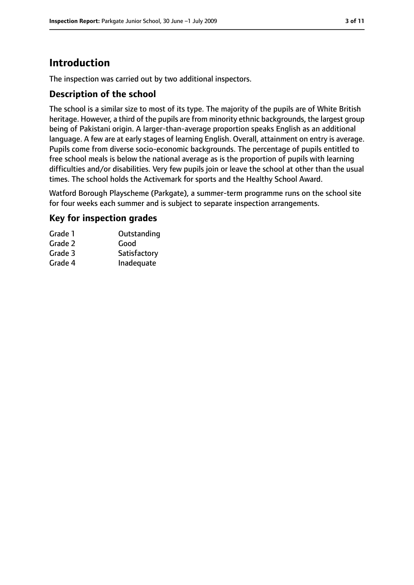### **Introduction**

The inspection was carried out by two additional inspectors.

#### **Description of the school**

The school is a similar size to most of its type. The majority of the pupils are of White British heritage. However, a third of the pupils are from minority ethnic backgrounds, the largest group being of Pakistani origin. A larger-than-average proportion speaks English as an additional language. A few are at early stages of learning English. Overall, attainment on entry is average. Pupils come from diverse socio-economic backgrounds. The percentage of pupils entitled to free school meals is below the national average as is the proportion of pupils with learning difficulties and/or disabilities. Very few pupils join or leave the school at other than the usual times. The school holds the Activemark for sports and the Healthy School Award.

Watford Borough Playscheme (Parkgate), a summer-term programme runs on the school site for four weeks each summer and is subject to separate inspection arrangements.

#### **Key for inspection grades**

| Grade 1 | Outstanding  |
|---------|--------------|
| Grade 2 | Good         |
| Grade 3 | Satisfactory |
| Grade 4 | Inadequate   |
|         |              |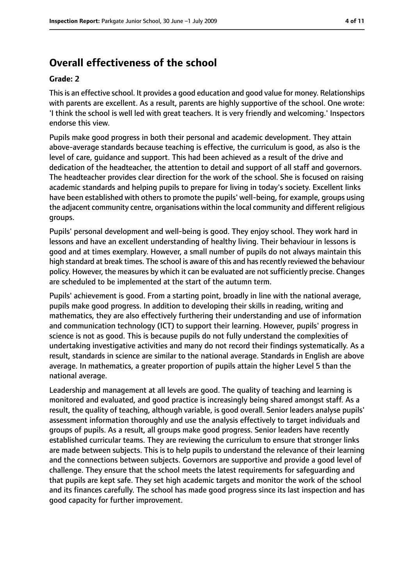### **Overall effectiveness of the school**

#### **Grade: 2**

Thisis an effective school. It provides a good education and good value for money. Relationships with parents are excellent. As a result, parents are highly supportive of the school. One wrote: 'I think the school is well led with great teachers. It is very friendly and welcoming.' Inspectors endorse this view.

Pupils make good progress in both their personal and academic development. They attain above-average standards because teaching is effective, the curriculum is good, as also is the level of care, guidance and support. This had been achieved as a result of the drive and dedication of the headteacher, the attention to detail and support of all staff and governors. The headteacher provides clear direction for the work of the school. She is focused on raising academic standards and helping pupils to prepare for living in today's society. Excellent links have been established with others to promote the pupils' well-being, for example, groups using the adjacent community centre, organisations within the local community and different religious groups.

Pupils' personal development and well-being is good. They enjoy school. They work hard in lessons and have an excellent understanding of healthy living. Their behaviour in lessons is good and at times exemplary. However, a small number of pupils do not always maintain this high standard at break times. The school is aware of this and has recently reviewed the behaviour policy. However, the measures by which it can be evaluated are not sufficiently precise. Changes are scheduled to be implemented at the start of the autumn term.

Pupils' achievement is good. From a starting point, broadly in line with the national average, pupils make good progress. In addition to developing their skills in reading, writing and mathematics, they are also effectively furthering their understanding and use of information and communication technology (ICT) to support their learning. However, pupils' progress in science is not as good. This is because pupils do not fully understand the complexities of undertaking investigative activities and many do not record their findings systematically. As a result, standards in science are similar to the national average. Standards in English are above average. In mathematics, a greater proportion of pupils attain the higher Level 5 than the national average.

Leadership and management at all levels are good. The quality of teaching and learning is monitored and evaluated, and good practice is increasingly being shared amongst staff. As a result, the quality of teaching, although variable, is good overall. Senior leaders analyse pupils' assessment information thoroughly and use the analysis effectively to target individuals and groups of pupils. As a result, all groups make good progress. Senior leaders have recently established curricular teams. They are reviewing the curriculum to ensure that stronger links are made between subjects. This is to help pupils to understand the relevance of their learning and the connections between subjects. Governors are supportive and provide a good level of challenge. They ensure that the school meets the latest requirements for safeguarding and that pupils are kept safe. They set high academic targets and monitor the work of the school and its finances carefully. The school has made good progress since its last inspection and has good capacity for further improvement.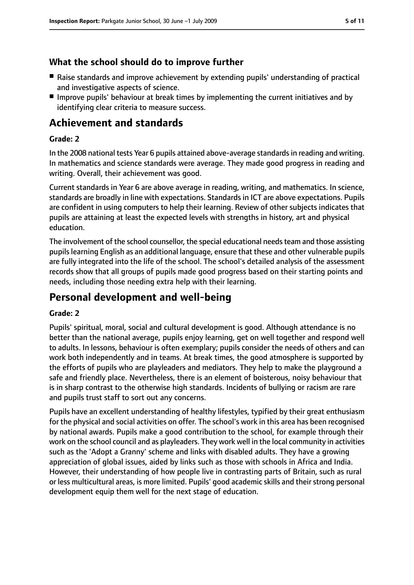#### **What the school should do to improve further**

- Raise standards and improve achievement by extending pupils' understanding of practical and investigative aspects of science.
- Improve pupils' behaviour at break times by implementing the current initiatives and by identifying clear criteria to measure success.

### **Achievement and standards**

#### **Grade: 2**

In the 2008 national tests Year 6 pupils attained above-average standardsin reading and writing. In mathematics and science standards were average. They made good progress in reading and writing. Overall, their achievement was good.

Current standards in Year 6 are above average in reading, writing, and mathematics. In science, standards are broadly in line with expectations. Standards in ICT are above expectations. Pupils are confident in using computers to help their learning. Review of other subjects indicates that pupils are attaining at least the expected levels with strengths in history, art and physical education.

The involvement of the school counsellor, the special educational needs team and those assisting pupilslearning English as an additional language, ensure that these and other vulnerable pupils are fully integrated into the life of the school. The school's detailed analysis of the assessment records show that all groups of pupils made good progress based on their starting points and needs, including those needing extra help with their learning.

### **Personal development and well-being**

#### **Grade: 2**

Pupils' spiritual, moral, social and cultural development is good. Although attendance is no better than the national average, pupils enjoy learning, get on well together and respond well to adults. In lessons, behaviour is often exemplary; pupils consider the needs of others and can work both independently and in teams. At break times, the good atmosphere is supported by the efforts of pupils who are playleaders and mediators. They help to make the playground a safe and friendly place. Nevertheless, there is an element of boisterous, noisy behaviour that is in sharp contrast to the otherwise high standards. Incidents of bullying or racism are rare and pupils trust staff to sort out any concerns.

Pupils have an excellent understanding of healthy lifestyles, typified by their great enthusiasm for the physical and social activities on offer. The school's work in this area has been recognised by national awards. Pupils make a good contribution to the school, for example through their work on the school council and as playleaders. They work well in the local community in activities such as the 'Adopt a Granny' scheme and links with disabled adults. They have a growing appreciation of global issues, aided by links such as those with schools in Africa and India. However, their understanding of how people live in contrasting parts of Britain, such as rural or less multicultural areas, is more limited. Pupils' good academic skills and their strong personal development equip them well for the next stage of education.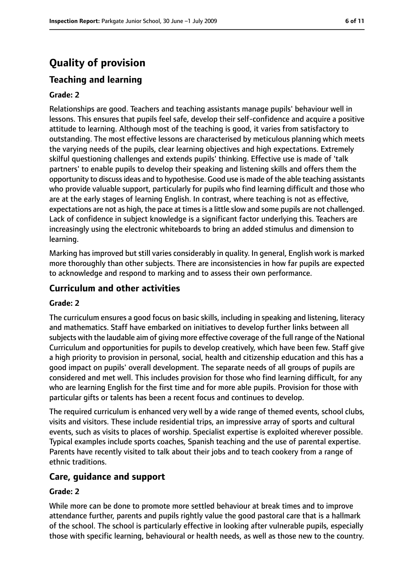## **Quality of provision**

### **Teaching and learning**

#### **Grade: 2**

Relationships are good. Teachers and teaching assistants manage pupils' behaviour well in lessons. This ensures that pupils feel safe, develop their self-confidence and acquire a positive attitude to learning. Although most of the teaching is good, it varies from satisfactory to outstanding. The most effective lessons are characterised by meticulous planning which meets the varying needs of the pupils, clear learning objectives and high expectations. Extremely skilful questioning challenges and extends pupils' thinking. Effective use is made of 'talk partners' to enable pupils to develop their speaking and listening skills and offers them the opportunity to discussideas and to hypothesise. Good use is made of the able teaching assistants who provide valuable support, particularly for pupils who find learning difficult and those who are at the early stages of learning English. In contrast, where teaching is not as effective, expectations are not as high, the pace at times is a little slow and some pupils are not challenged. Lack of confidence in subject knowledge is a significant factor underlying this. Teachers are increasingly using the electronic whiteboards to bring an added stimulus and dimension to learning.

Marking has improved but still varies considerably in quality. In general, English work is marked more thoroughly than other subjects. There are inconsistencies in how far pupils are expected to acknowledge and respond to marking and to assess their own performance.

#### **Curriculum and other activities**

#### **Grade: 2**

The curriculum ensures a good focus on basic skills, including in speaking and listening, literacy and mathematics. Staff have embarked on initiatives to develop further links between all subjects with the laudable aim of giving more effective coverage of the full range of the National Curriculum and opportunities for pupils to develop creatively, which have been few. Staff give a high priority to provision in personal, social, health and citizenship education and this has a good impact on pupils' overall development. The separate needs of all groups of pupils are considered and met well. This includes provision for those who find learning difficult, for any who are learning English for the first time and for more able pupils. Provision for those with particular gifts or talents has been a recent focus and continues to develop.

The required curriculum is enhanced very well by a wide range of themed events, school clubs, visits and visitors. These include residential trips, an impressive array of sports and cultural events, such as visits to places of worship. Specialist expertise is exploited wherever possible. Typical examples include sports coaches, Spanish teaching and the use of parental expertise. Parents have recently visited to talk about their jobs and to teach cookery from a range of ethnic traditions.

#### **Care, guidance and support**

#### **Grade: 2**

While more can be done to promote more settled behaviour at break times and to improve attendance further, parents and pupils rightly value the good pastoral care that is a hallmark of the school. The school is particularly effective in looking after vulnerable pupils, especially those with specific learning, behavioural or health needs, as well as those new to the country.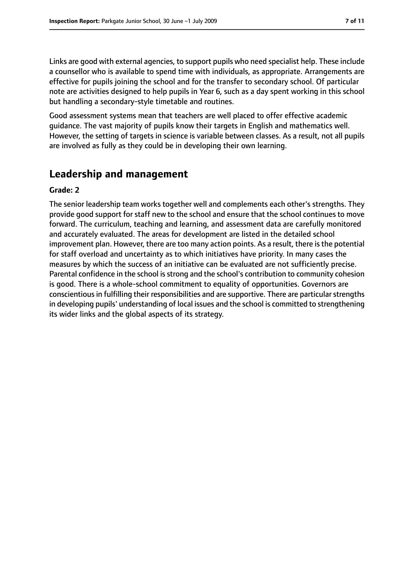Links are good with external agencies, to support pupils who need specialist help. These include a counsellor who is available to spend time with individuals, as appropriate. Arrangements are effective for pupils joining the school and for the transfer to secondary school. Of particular note are activities designed to help pupils in Year 6, such as a day spent working in this school but handling a secondary-style timetable and routines.

Good assessment systems mean that teachers are well placed to offer effective academic guidance. The vast majority of pupils know their targets in English and mathematics well. However, the setting of targets in science is variable between classes. As a result, not all pupils are involved as fully as they could be in developing their own learning.

### **Leadership and management**

#### **Grade: 2**

The senior leadership team works together well and complements each other's strengths. They provide good support for staff new to the school and ensure that the school continues to move forward. The curriculum, teaching and learning, and assessment data are carefully monitored and accurately evaluated. The areas for development are listed in the detailed school improvement plan. However, there are too many action points. As a result, there is the potential for staff overload and uncertainty as to which initiatives have priority. In many cases the measures by which the success of an initiative can be evaluated are not sufficiently precise. Parental confidence in the school is strong and the school's contribution to community cohesion is good. There is a whole-school commitment to equality of opportunities. Governors are conscientious in fulfilling their responsibilities and are supportive. There are particular strengths in developing pupils' understanding of local issues and the school is committed to strengthening its wider links and the global aspects of its strategy.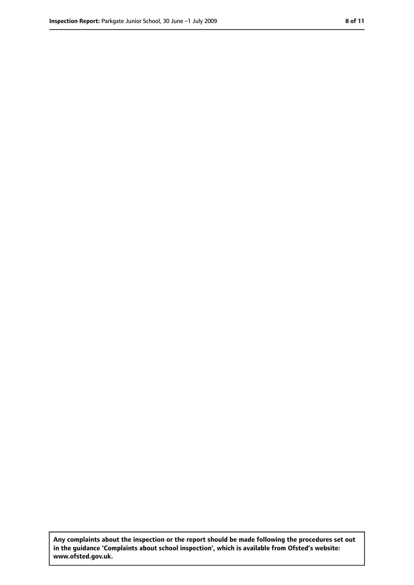**Any complaints about the inspection or the report should be made following the procedures set out in the guidance 'Complaints about school inspection', which is available from Ofsted's website: www.ofsted.gov.uk.**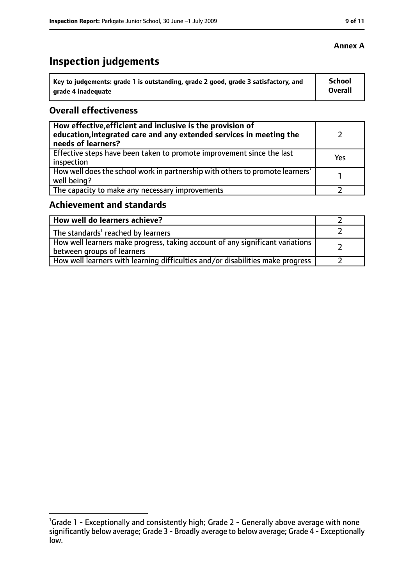## **Inspection judgements**

| $^{\cdot}$ Key to judgements: grade 1 is outstanding, grade 2 good, grade 3 satisfactory, and | School         |
|-----------------------------------------------------------------------------------------------|----------------|
| arade 4 inadequate                                                                            | <b>Overall</b> |

#### **Overall effectiveness**

| How effective, efficient and inclusive is the provision of<br>education, integrated care and any extended services in meeting the<br>needs of learners? |     |
|---------------------------------------------------------------------------------------------------------------------------------------------------------|-----|
| Effective steps have been taken to promote improvement since the last<br>inspection                                                                     | Yes |
| How well does the school work in partnership with others to promote learners'<br>well being?                                                            |     |
| The capacity to make any necessary improvements                                                                                                         |     |

### **Achievement and standards**

| How well do learners achieve?                                                                               |  |
|-------------------------------------------------------------------------------------------------------------|--|
| The standards <sup>1</sup> reached by learners                                                              |  |
| How well learners make progress, taking account of any significant variations<br>between groups of learners |  |
| How well learners with learning difficulties and/or disabilities make progress                              |  |

<sup>&</sup>lt;sup>1</sup>Grade 1 - Exceptionally and consistently high; Grade 2 - Generally above average with none significantly below average; Grade 3 - Broadly average to below average; Grade 4 - Exceptionally low.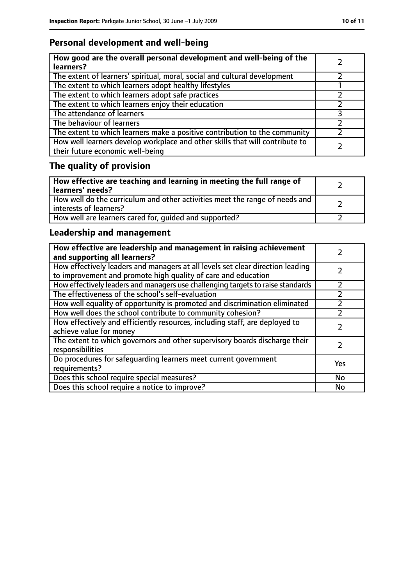### **Personal development and well-being**

| How good are the overall personal development and well-being of the<br>learners?                                 |  |
|------------------------------------------------------------------------------------------------------------------|--|
| The extent of learners' spiritual, moral, social and cultural development                                        |  |
| The extent to which learners adopt healthy lifestyles                                                            |  |
| The extent to which learners adopt safe practices                                                                |  |
| The extent to which learners enjoy their education                                                               |  |
| The attendance of learners                                                                                       |  |
| The behaviour of learners                                                                                        |  |
| The extent to which learners make a positive contribution to the community                                       |  |
| How well learners develop workplace and other skills that will contribute to<br>their future economic well-being |  |

## **The quality of provision**

| How effective are teaching and learning in meeting the full range of<br>learners' needs?              |  |
|-------------------------------------------------------------------------------------------------------|--|
| How well do the curriculum and other activities meet the range of needs and<br>interests of learners? |  |
| How well are learners cared for, quided and supported?                                                |  |

### **Leadership and management**

| How effective are leadership and management in raising achievement<br>and supporting all learners?                                              |     |
|-------------------------------------------------------------------------------------------------------------------------------------------------|-----|
| How effectively leaders and managers at all levels set clear direction leading<br>to improvement and promote high quality of care and education |     |
| How effectively leaders and managers use challenging targets to raise standards                                                                 |     |
| The effectiveness of the school's self-evaluation                                                                                               |     |
| How well equality of opportunity is promoted and discrimination eliminated                                                                      |     |
| How well does the school contribute to community cohesion?                                                                                      |     |
| How effectively and efficiently resources, including staff, are deployed to<br>achieve value for money                                          |     |
| The extent to which governors and other supervisory boards discharge their<br>responsibilities                                                  |     |
| Do procedures for safequarding learners meet current government<br>requirements?                                                                | Yes |
| Does this school require special measures?                                                                                                      | No  |
| Does this school require a notice to improve?                                                                                                   | No  |